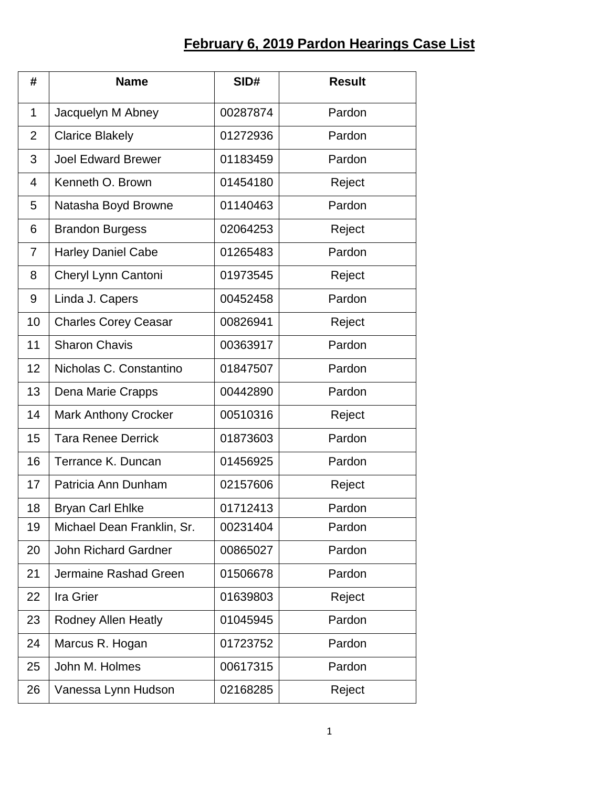## **February 6, 2019 Pardon Hearings Case List**

| #              | <b>Name</b>                 | SID#     | <b>Result</b> |
|----------------|-----------------------------|----------|---------------|
| 1              | Jacquelyn M Abney           | 00287874 | Pardon        |
| $\overline{2}$ | <b>Clarice Blakely</b>      | 01272936 | Pardon        |
| 3              | <b>Joel Edward Brewer</b>   | 01183459 | Pardon        |
| 4              | Kenneth O. Brown            | 01454180 | Reject        |
| 5              | Natasha Boyd Browne         | 01140463 | Pardon        |
| 6              | <b>Brandon Burgess</b>      | 02064253 | Reject        |
| $\overline{7}$ | <b>Harley Daniel Cabe</b>   | 01265483 | Pardon        |
| 8              | Cheryl Lynn Cantoni         | 01973545 | Reject        |
| 9              | Linda J. Capers             | 00452458 | Pardon        |
| 10             | <b>Charles Corey Ceasar</b> | 00826941 | Reject        |
| 11             | <b>Sharon Chavis</b>        | 00363917 | Pardon        |
| 12             | Nicholas C. Constantino     | 01847507 | Pardon        |
| 13             | Dena Marie Crapps           | 00442890 | Pardon        |
| 14             | <b>Mark Anthony Crocker</b> | 00510316 | Reject        |
| 15             | <b>Tara Renee Derrick</b>   | 01873603 | Pardon        |
| 16             | Terrance K. Duncan          | 01456925 | Pardon        |
| 17             | Patricia Ann Dunham         | 02157606 | Reject        |
| 18             | <b>Bryan Carl Ehlke</b>     | 01712413 | Pardon        |
| 19             | Michael Dean Franklin, Sr.  | 00231404 | Pardon        |
| 20             | <b>John Richard Gardner</b> | 00865027 | Pardon        |
| 21             | Jermaine Rashad Green       | 01506678 | Pardon        |
| 22             | Ira Grier                   | 01639803 | Reject        |
| 23             | <b>Rodney Allen Heatly</b>  | 01045945 | Pardon        |
| 24             | Marcus R. Hogan             | 01723752 | Pardon        |
| 25             | John M. Holmes              | 00617315 | Pardon        |
| 26             | Vanessa Lynn Hudson         | 02168285 | Reject        |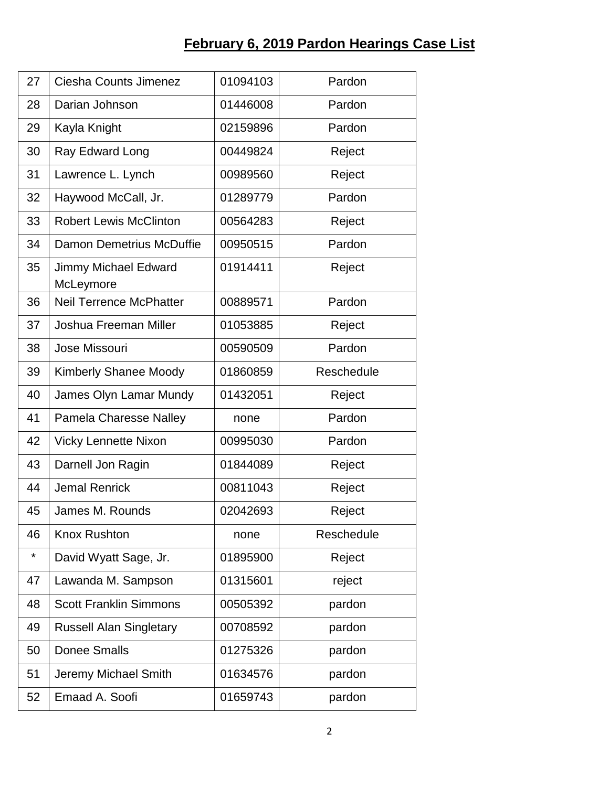## **February 6, 2019 Pardon Hearings Case List**

| 27 | Ciesha Counts Jimenez             | 01094103 | Pardon     |
|----|-----------------------------------|----------|------------|
| 28 | Darian Johnson                    | 01446008 | Pardon     |
| 29 | Kayla Knight                      | 02159896 | Pardon     |
| 30 | Ray Edward Long                   | 00449824 | Reject     |
| 31 | Lawrence L. Lynch                 | 00989560 | Reject     |
| 32 | Haywood McCall, Jr.               | 01289779 | Pardon     |
| 33 | <b>Robert Lewis McClinton</b>     | 00564283 | Reject     |
| 34 | Damon Demetrius McDuffie          | 00950515 | Pardon     |
| 35 | Jimmy Michael Edward<br>McLeymore | 01914411 | Reject     |
| 36 | <b>Neil Terrence McPhatter</b>    | 00889571 | Pardon     |
| 37 | Joshua Freeman Miller             | 01053885 | Reject     |
| 38 | Jose Missouri                     | 00590509 | Pardon     |
| 39 | <b>Kimberly Shanee Moody</b>      | 01860859 | Reschedule |
| 40 | James Olyn Lamar Mundy            | 01432051 | Reject     |
| 41 | Pamela Charesse Nalley            | none     | Pardon     |
| 42 | <b>Vicky Lennette Nixon</b>       | 00995030 | Pardon     |
| 43 | Darnell Jon Ragin                 | 01844089 | Reject     |
| 44 | <b>Jemal Renrick</b>              | 00811043 | Reject     |
| 45 | James M. Rounds                   | 02042693 | Reject     |
| 46 | <b>Knox Rushton</b>               | none     | Reschedule |
| *  | David Wyatt Sage, Jr.             | 01895900 | Reject     |
| 47 | Lawanda M. Sampson                | 01315601 | reject     |
| 48 | <b>Scott Franklin Simmons</b>     | 00505392 | pardon     |
| 49 | <b>Russell Alan Singletary</b>    | 00708592 | pardon     |
| 50 | <b>Donee Smalls</b>               | 01275326 | pardon     |
| 51 | Jeremy Michael Smith              | 01634576 | pardon     |
| 52 | Emaad A. Soofi                    | 01659743 | pardon     |